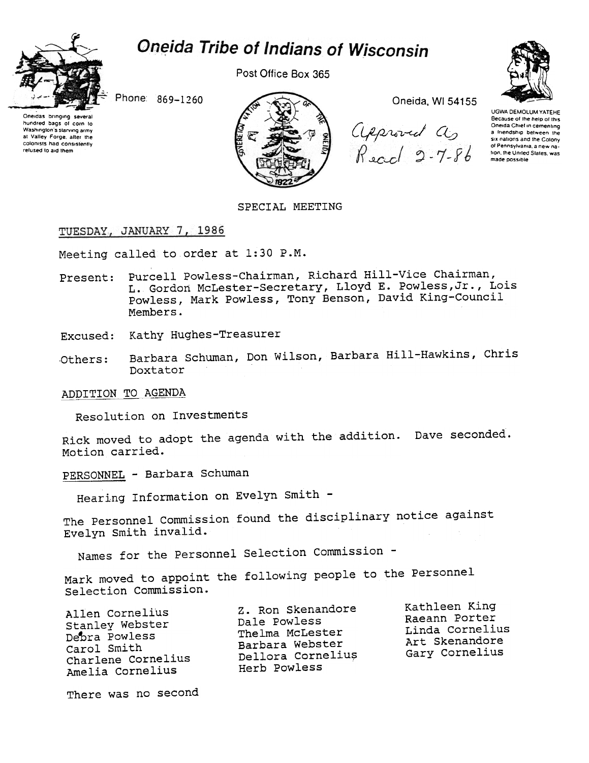



Post Office Box 365



Oneidas bringing several hundred bags of corp to Washington's starving army at Valley Forge, after the colonists had consistently refused to aid them



Oneida, WI 54155

Approved as<br>Read 2-7-86



**UGWA DEMOLUM YATEHE** Because of the help of this<br>Oneida Chief in cementing a friendship between the six nations and the Colony<br>of Pennsylvania, a new nation, the United States, was made possible

SPECIAL MEETING

## TUESDAY, JANUARY 7, 1986

Meeting called to order at 1:30 P.M.

Present: Purcell Powless-Chairman, Richard Hill-Vice Chairman, L. Gordon McLester-Secretary, Lloyd E. Powless, Jr., Lois Powless, Mark Powless, Tony Benson, David King-Council Members.

Excused: Kathy Hughes-Treasurer

Barbara Schuman, Don Wilson, Barbara Hill-Hawkins, Chris Others: Doxtator

ADDITION TO AGENDA

Resolution on Investments

Rick moved to adopt the agenda with the addition. Dave seconded. Motion carried.

PERSONNEL - Barbara Schuman

Hearing Information on Evelyn Smith -

The Personnel Commission found the disciplinary notice against Evelyn Smith invalid.

Names for the Personnel Selection Commission -

Mark moved to appoint the following people to the Personnel Selection Commission.

| Allen Cornelius    |
|--------------------|
| Stanley Webster    |
| Debra Powless      |
| Carol Smith        |
| Charlene Cornelius |
| Amelia Cornelius   |

Z. Ron Skenandore Dale Powless Thelma McLester Barbara Webster Dellora Cornelius Herb Powless

Kathleen King Raeann Porter Linda Cornelius Art Skenandore Gary Cornelius

There was no second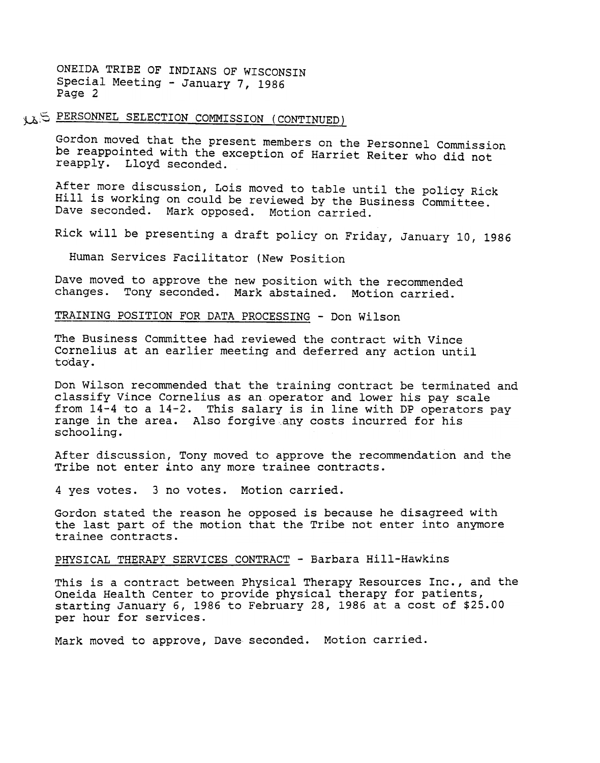1 AS PERSONNEL SELECTION COMMISSION (CONTINUED)

Gordon moved that the present members on the Personnel Commission be reappointed with the exception of Harriet Reiter who did not reapply. Lloyd seconded.

After more discussion, Lois moved to table until the policy Rick Hill is working on could be reviewed by the Business Committee. Dave seconded. Mark opposed. Motion carried.

Rick will be presenting a draft policy on Friday, January 10, 1986

Human Services Facilitator (New Position

Dave moved to approve the new position with the recommended changes. Tony seconded. Mark abstained. Motion carried.

TRAINING POSITION FOR DATA PROCESSING - Don Wilson

The Business Committee had reviewed the contract with Vince Cornelius at an earlier meeting and deferred any action until today.

Don Wilson recommended that the training contract be terminated and classify Vince Cornelius as an operator and lower his pay scale from 14-4 to a 14-2. This salary is in line with DP operators pay range in the area. Also forgive .any costs incurred for his schooling.

After discussion, Tony moved to approve the recommendation and the Tribe not enter into any more trainee contracts.

4 yes votes. 3 no votes. Motion carried.

Gordon stated the reason he opposed is because he disagreed with the last part of the motion that the Tribe not enter into anymore trainee contracts.

PHYSICAL THERAPY SERVICES CONTRACT -Barbara Hill-Hawkins

This is a contract between Physical Therapy Resources Inc., and the Oneida Health Center to provide physical therapy for patients, starting January 6, 1986 to February 28, 1986 at a cost of \$25.00 per hour for services.

Mark moved to approve, Dave seconded. Motion carried.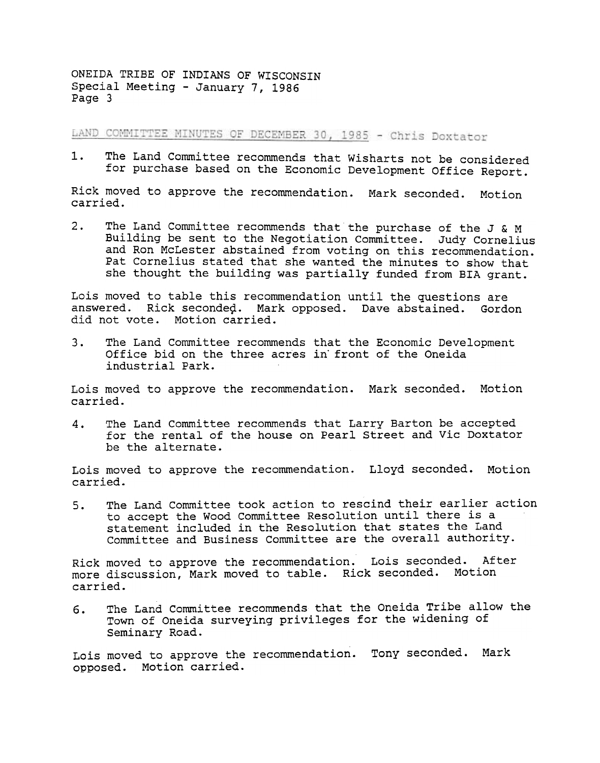LAND COMMITTEE MINUTES OF DECEMBER 30, 1985 - Chris Doxtator

The Land Committee recommends that Wisharts not be considered  $1.$ for purchase based on the Economic Development Office Report.

Rick moved to approve the recommendation. Mark seconded. Motion carried.

The Land Committee recommends that the purchase of the J & M  $2.$ Building be sent to the Negotiation Committee. Judy Cornelius and Ron McLester abstained from voting on this recommendation. Pat Cornelius stated that she wanted the minutes to show that she thought the building was partially funded from BrA grant.

Lois moved to table this recommendation until the questions are answered. Rick seconded. Mark opposed. Dave abstained. Gordon did not vote. Motion carried.

3. The Land Committee recommends that the Economic Development Office bid on the three acres in' front of the Oneida industrial Park.

Lois moved to approve the recommendation. Mark seconded. Motion carried.

The Land Committee recommends that Larry Barton be accepted for the rental of the house on Pearl street and Vic Doxtator be the alternate. 4.

Lois moved to approve the recommendation. Lloyd seconded. Motion carried.

The Land Committee took action to rescind their earlier action to accept the Wood Committee Resolution until there is a statement included in the Resolution that states the Land Committee and Business Committee are the overall authority. 5.

Rick moved to approve the recommendation. Lois seconded. After more discussion, Mark moved to table. Rick seconded. Motion carried.

The Land Committee recommends that the Oneida Tribe allow the Town of Oneida surveying privileges for the widening of Seminary Road. 6.

Lois moved to approve the recommendation. Tony seconded. Mark opposed. Motion carried.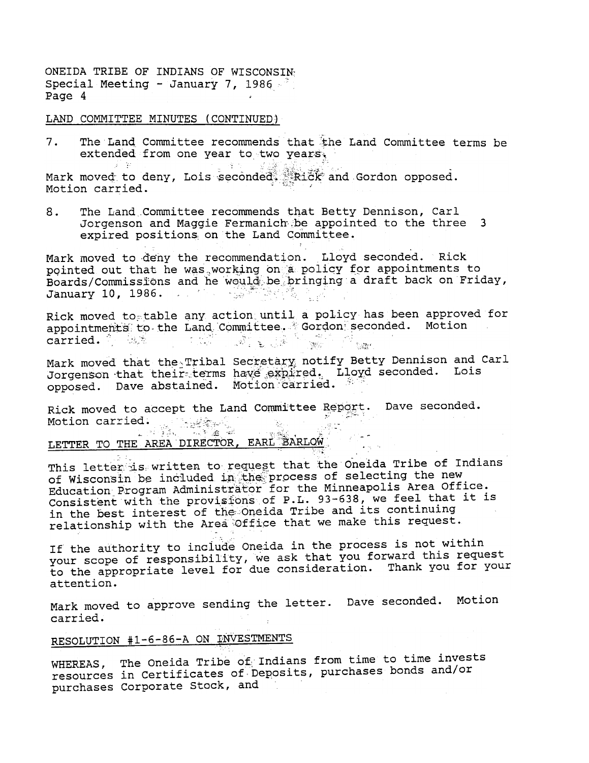LAND COMMITTEE MINUTES (CONTINUED)

-3° ¥r i

The Land Committee recommends that the Land Committee terms be  $7.$ extended from one year to two years.

Mark moved to deny, Lois seconded. Rick and Gordon opposed.<br>Motion carried Motion carried.

一座内

8. The Land Committee recommends that Betty Dennison, Carl Jorgenson and Maggie Fermanich be appointed to the three 3 expired positions on the Land Committee.

Mark moved to deny the recommendation. Lloyd seconded. Rick pointed out that he was working on a policy for appointments to<br>Boards/Commissions and he would be pringing a draft back on Friday, January 10, 1986.  $\ldots$  and  $\mathbb{R}^m$  is the  $\mathbb{R}^n$ 

Rick moved to table any action until a policy has been approved for appointments to the Land Committee. Cordon seconded. Motion WELFARE a ang ampanganan<br>Sina ang kabupatèn Sulawa carried. When e<br>Sabi

Mark moved that the Tribal Secretary notify Betty Dennison and Carl Jorgenson that their terms have expired. Lloyd seconded. Lois opposed. Dave abstained. Motion carried.

Rick moved to accept the Land Committee Report. Dave seconded. - 27 d: 1994<br>Leigh Right Motion carried.  $\frac{1}{2} \sum_{i=1}^n \frac{1}{2} \int_{-\infty}^{\infty} \frac{1}{2} \, d\mu$ 

# LETTER TO THE AREA DIRECTOR, EARL BARLOW

This letter is written to request that the Oneida Tribe of Indians of Wisconsin be included in the process of selecting the new Education Program Administrator for the Minneapolis Area Office.<br>Consistent with the provisions of P.L. 93-638, we feel that it is in the best interest of the Oneida Tribe and its continuing relationship with the Area Office that we make this request.

If the authority to include Oneida in the process is not within your scope of responsibility, we ask that you forward this request to the appropriate level for due consideration. Thank you for your attention.

Mark moved to approve sending the letter. Dave seconded. Motion carried.

# RESOLUTION #1-6-86-A ON INVESTMENTS

WHEREAS, The Oneida Tribe of Indians from time to time invests resources in Certificates of Deposits, purchases bonds and/or purchases Corporate Stock, and